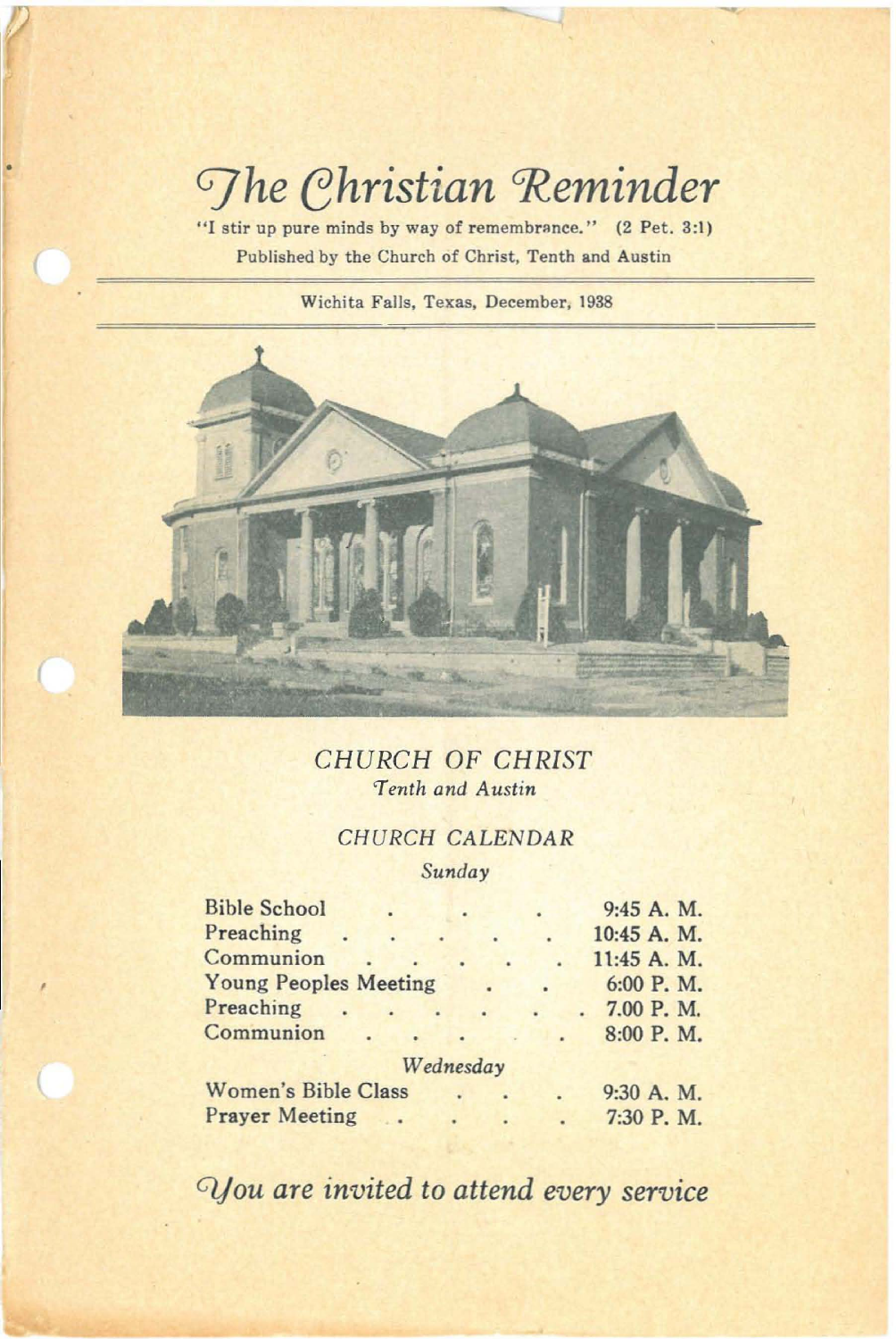# *Ghristian* Reminder

"I stir up pure minds by way of remembrance." (2 Pet. 3:1) Published by the Church of Christ, Tenth and Austin

Wichita Falls, Texas, December, 1938



*CHURCH* OF *CHRIST 'Tenth and Austin*

# CHURCH CALENDAR

*Sunday*

| <b>Bible School</b>          |  |           |  |           |  | 9:45 A. M.  |  |
|------------------------------|--|-----------|--|-----------|--|-------------|--|
| Preaching                    |  |           |  |           |  | 10:45 A. M. |  |
| Communion                    |  |           |  |           |  | 11:45 A. M. |  |
| <b>Young Peoples Meeting</b> |  |           |  | $\bullet$ |  | 6:00 P.M.   |  |
| Preaching                    |  |           |  |           |  | 7.00 P.M.   |  |
| Communion                    |  |           |  |           |  | 8:00 P.M.   |  |
|                              |  | Wednesday |  |           |  |             |  |
| Women's Bible Class          |  |           |  |           |  | 9:30 A. M.  |  |
| <b>Prayer Meeting</b>        |  |           |  |           |  | 7:30 P.M.   |  |

*Cijou are invited* to *attend every service*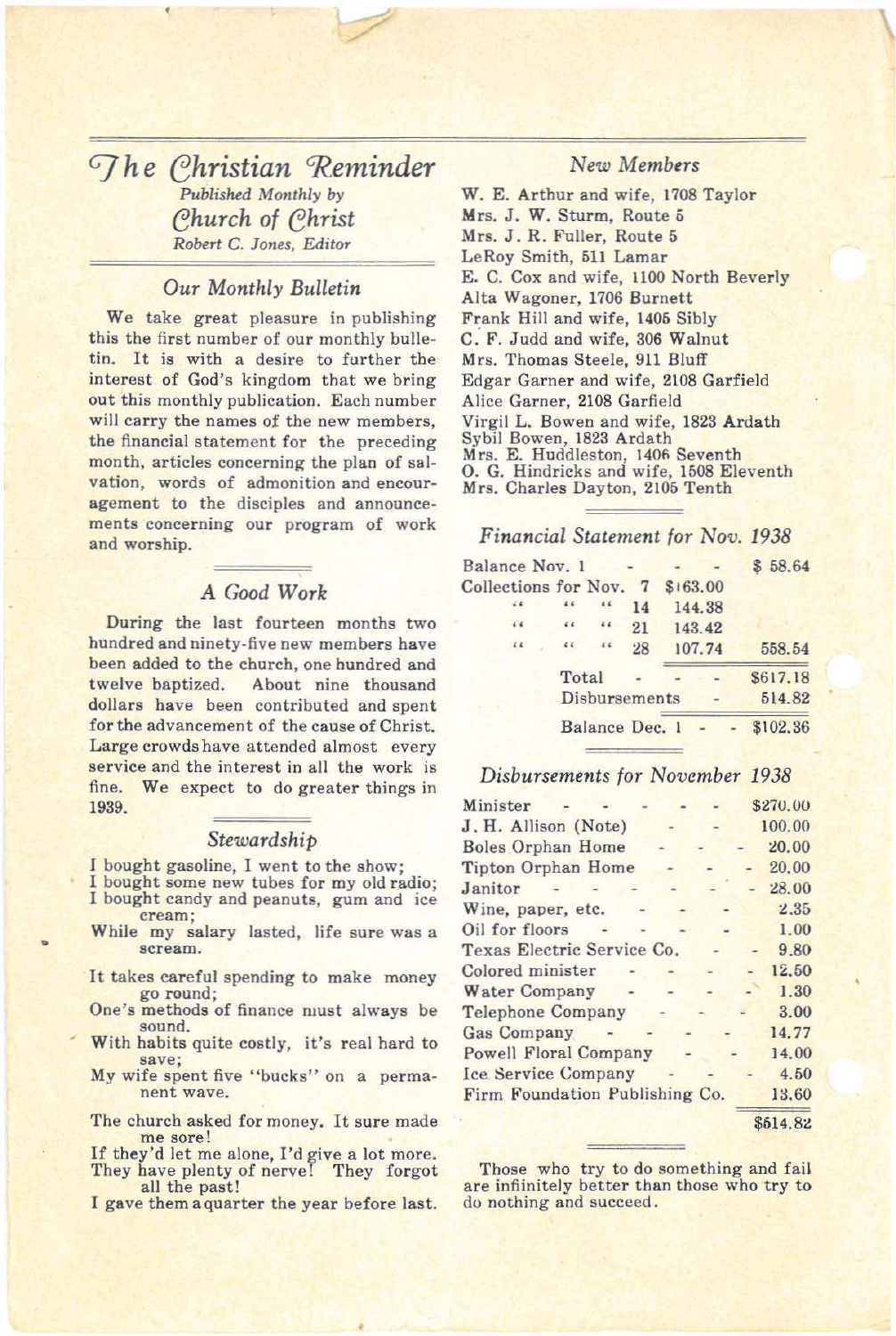The Christian Reminder Published Monthly by Church of Christ Robert C. Jones, Editor

#### Our Monthly Bulletin

We take great pleasure in publishing this the first number of our monthly bulletin. It is with a desire to further the interest of God's kingdom that we bring out this monthly publication. Each number will carry the names of the new members, the financial statement for the preceding month, articles concerning the plan of salvation, words of admonition and encouragement to the disciples and announcements concerning our program of work and worship.

#### A Good Work

During the last fourteen months two hundred and ninety-five new members have been added to the church, one hundred and twelve baptized. About nine thousand dollars have been contributed and spent for the advancement of the cause of Christ. Large crowds have attended almost every service and the interest in all the work is fine. We expect to do greater things in 1939.

#### Stewardship

I bought gasoline, I went to the show;

- I bought some new tubes for my old radio; I bought candy and peanuts, gum and ice cream;
- While my salary lasted, life sure was a scream.
- It takes careful spending to make money go round;
- One's methods of finance must always be sound.
- With habits quite costly, it's real hard to save:
- My wife spent five "bucks" on a permanent wave.
- The church asked for money. It sure made me sore!
- If they'd let me alone, I'd give a lot more. They have plenty of nerve! They forgot all the past!

I gave them a quarter the year before last.

### New Members

W. E. Arthur and wife, 1708 Taylor Mrs. J. W. Sturm, Route 5 Mrs. J. R. Fuller, Route 5 LeRoy Smith, 511 Lamar E. C. Cox and wife, 1100 North Beverly Alta Wagoner, 1706 Burnett Frank Hill and wife, 1405 Sibly C. F. Judd and wife, 306 Walnut Mrs. Thomas Steele, 911 Bluff Edgar Garner and wife, 2108 Garfield Alice Garner, 2108 Garfield Virgil L. Bowen and wife, 1823 Ardath Sybil Bowen, 1823 Ardath Mrs. E. Huddleston, 1406 Seventh<br>O. G. Hindricks and wife, 1508 Eleventh Mrs. Charles Dayton, 2105 Tenth

#### Financial Statement for Nov. 1938

| Balance Nov. 1                  |                       |                       |    |        |        | \$58.64  |
|---------------------------------|-----------------------|-----------------------|----|--------|--------|----------|
| Collections for Nov. 7 \$163.00 |                       |                       |    |        |        |          |
|                                 |                       |                       | 14 |        | 144.38 |          |
| 6.6                             | 6.6                   | 64                    | 21 | 143.42 |        |          |
| 64                              | $\epsilon$ $\epsilon$ | $\epsilon$ $\epsilon$ | 28 |        | 107.74 | 558.54   |
|                                 | Total                 |                       |    |        |        | \$617.18 |
|                                 |                       | Disbursements         |    |        |        | 514.82   |
|                                 |                       | Balance Dec. 1        |    |        |        | \$102.36 |

#### Disbursements for November 1938

| Minister                       |  |  | \$270.00 |
|--------------------------------|--|--|----------|
| J. H. Allison (Note)           |  |  | 100.00   |
| <b>Boles Orphan Home</b>       |  |  | 20.00    |
| Tipton Orphan Home             |  |  | 20,00    |
| Janitor                        |  |  | 28.00    |
| Wine, paper, etc.              |  |  | 2.35     |
| Oil for floors                 |  |  | 1.00     |
| Texas Electric Service Co.     |  |  | 9.80     |
| Colored minister               |  |  | 12.50    |
| Water Company                  |  |  | 1.30     |
| Telephone Company              |  |  | 3.00     |
| <b>Gas Company</b>             |  |  | 14.77    |
| <b>Powell Floral Company</b>   |  |  | 14.00    |
| Ice Service Company            |  |  | 4.50     |
| Firm Foundation Publishing Co. |  |  | 13.60    |
|                                |  |  | \$514.82 |

Those who try to do something and fail are infiinitely better than those who try to do nothing and succeed.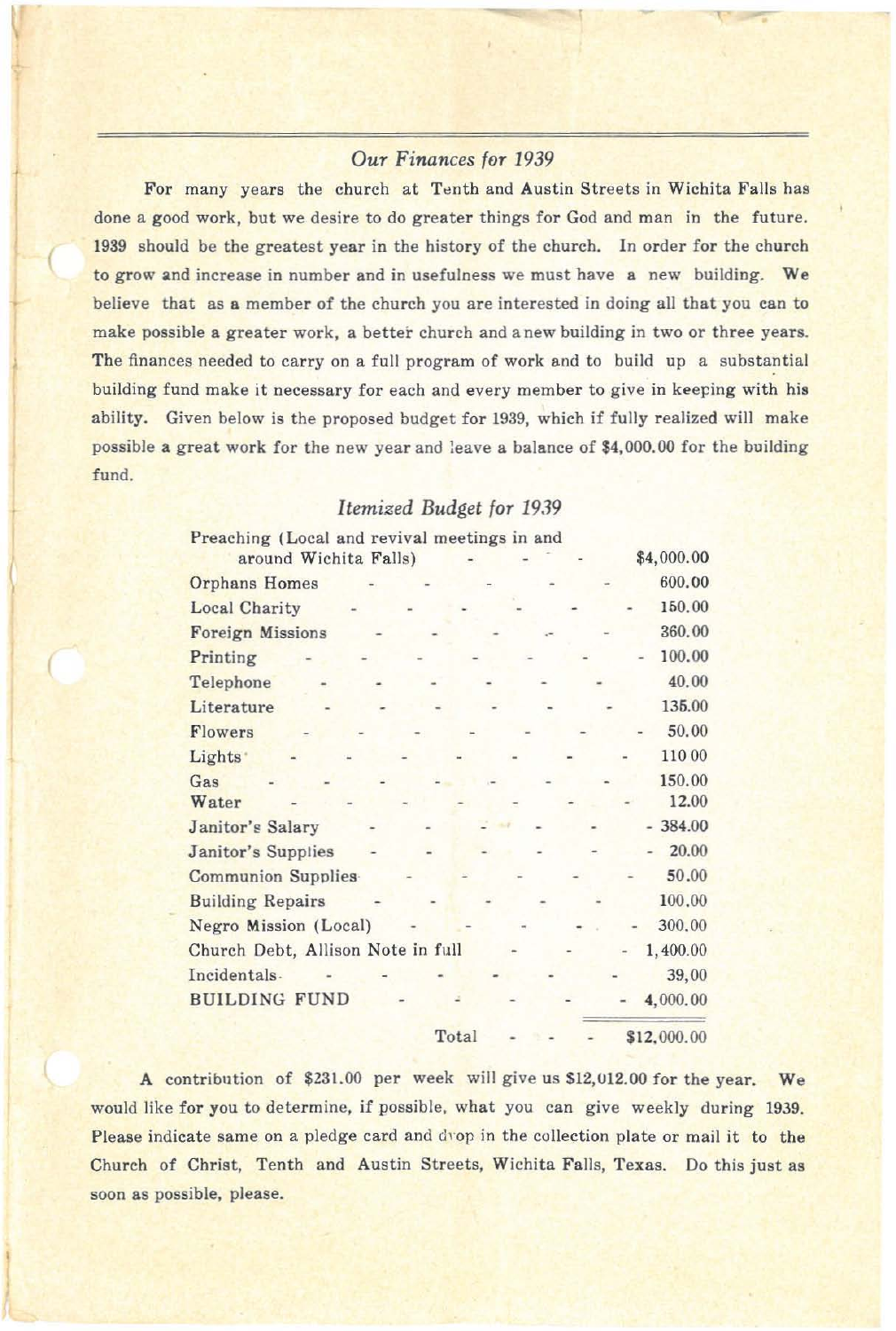# *OUT Finances fOT 1939*

For many years the church at Tenth and Austin Streets in Wichita Falls has done a good work, but we desire to do greater things for God and man in the future. 1939 should be the greatest year in the history of the church. In order for the church to grow and increase in number and in usefulness we must have a new building. We believe that as a member of the church you are interested in doing all that you can to make possible a greater work, a better church and a new building in two or three years. The finances needed to carry on a full program of work and to build up a substantial building fund make it necessary for each and every member to give in keeping with his ability. Given below is the proposed budget for 1939, which if fully realized will make possible a great work for the new year and leave a balance of \$4,000.00 for the building fund.

# *Itemized Budget fOT 1939*

| Preaching (Local and revival meetings in and<br>around Wichita Falls) |  |       |  | \$4,000.00  |
|-----------------------------------------------------------------------|--|-------|--|-------------|
| <b>Orphans Homes</b>                                                  |  |       |  | 600.00      |
| <b>Local Charity</b>                                                  |  |       |  | 150.00      |
| <b>Foreign Missions</b>                                               |  |       |  | 360.00      |
| Printing                                                              |  |       |  | 100.00      |
| Telephone                                                             |  |       |  | 40.00       |
| Literature                                                            |  |       |  | 135.00      |
| Flowers                                                               |  |       |  | 50.00       |
| Lights <sup>*</sup>                                                   |  |       |  | 110 00      |
| Gas                                                                   |  |       |  | 150.00      |
| Water                                                                 |  |       |  | 12.00       |
| Janitor's Salary                                                      |  |       |  | $-384.00$   |
| Janitor's Supplies                                                    |  |       |  | 20.00       |
| <b>Communion Supplies</b>                                             |  |       |  | 50.00       |
| <b>Building Repairs</b>                                               |  |       |  | 100,00      |
| Negro Mission (Local)                                                 |  |       |  | 300,00      |
| Church Debt, Allison Note in full                                     |  |       |  | 1,400.00    |
| Incidentals.                                                          |  |       |  | 39,00       |
| <b>BUILDING FUND</b>                                                  |  |       |  | 4,000.00    |
|                                                                       |  | Total |  | \$12,000.00 |

A contribution of \$231.00 per week will give us \$12,012.00 for the year. We would like for you to determine, if possible. what you can give weekly during 1939. Please indicate same on a pledge card and d'op in the collection plate or mail it to the Church of Christ, Tenth and Austin Streets, Wichita Falls, Texas. Do this just as soon as possible, please.